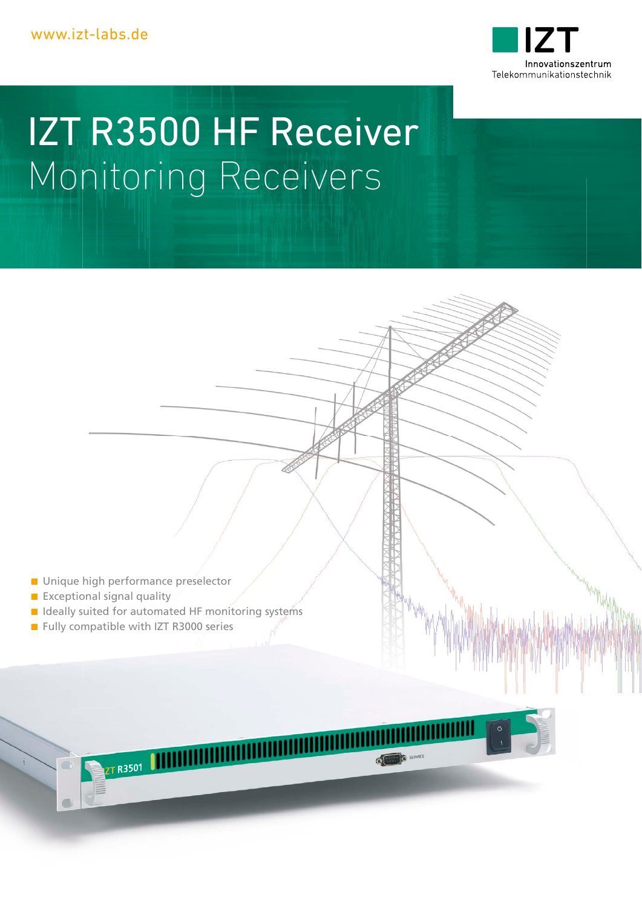

# IZT R3500 HF Receiver Monitoring Receivers

- **Unique high performance preselector**
- $E$  Exceptional signal quality
- $\blacksquare$  Ideally suited for automated HF monitoring systems

**COLLEGE SERVICE** 

Fully compatible with IZT R3000 series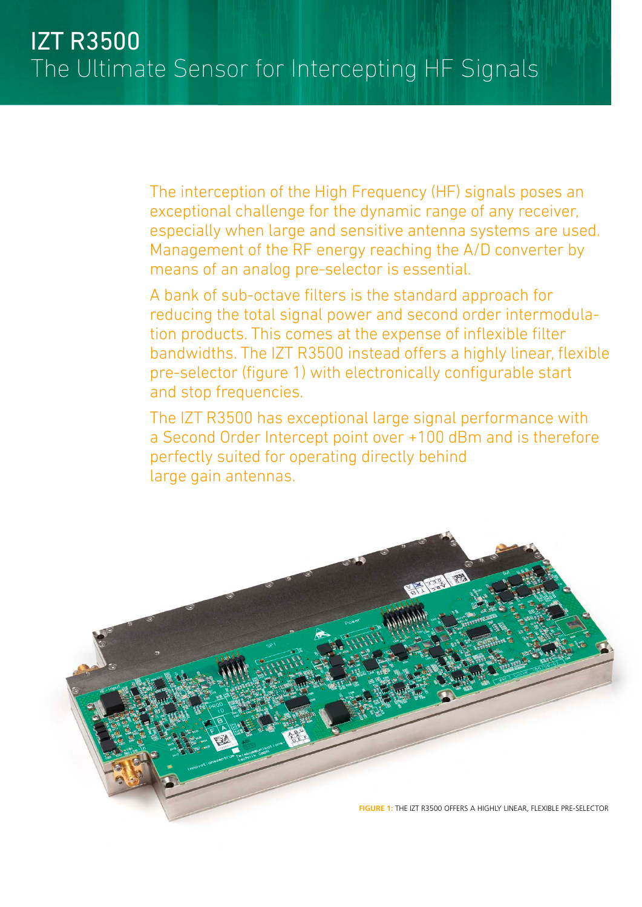The interception of the High Frequency (HF) signals poses an exceptional challenge for the dynamic range of any receiver, especially when large and sensitive antenna systems are used. Management of the RF energy reaching the A/D converter by means of an analog pre-selector is essential.

A bank of sub-octave filters is the standard approach for reducing the total signal power and second order intermodulation products. This comes at the expense of inflexible filter bandwidths. The IZT R3500 instead offers a highly linear, flexible pre-selector (figure 1) with electronically configurable start and stop frequencies.

The IZT R3500 has exceptional large signal performance with a Second Order Intercept point over +100 dBm and is therefore perfectly suited for operating directly behind large gain antennas.

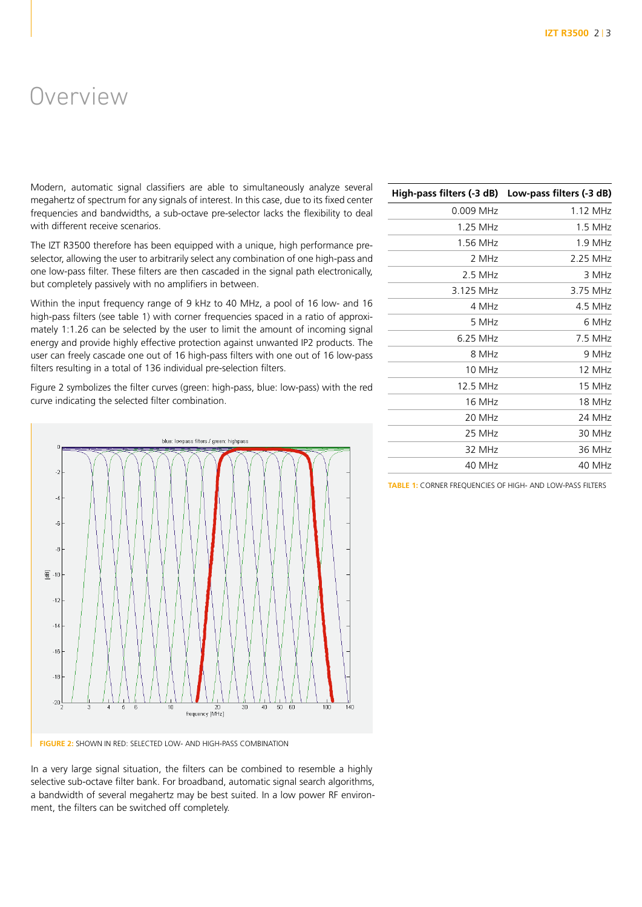### Overview

Modern, automatic signal classifiers are able to simultaneously analyze several megahertz of spectrum for any signals of interest. In this case, due to its fixed center frequencies and bandwidths, a sub-octave pre-selector lacks the flexibility to deal with different receive scenarios.

The IZT R3500 therefore has been equipped with a unique, high performance preselector, allowing the user to arbitrarily select any combination of one high-pass and one low-pass filter. These filters are then cascaded in the signal path electronically, but completely passively with no amplifiers in between.

Within the input frequency range of 9 kHz to 40 MHz, a pool of 16 low- and 16 high-pass filters (see table 1) with corner frequencies spaced in a ratio of approximately 1:1.26 can be selected by the user to limit the amount of incoming signal energy and provide highly effective protection against unwanted IP2 products. The user can freely cascade one out of 16 high-pass filters with one out of 16 low-pass filters resulting in a total of 136 individual pre-selection filters.

Figure 2 symbolizes the filter curves (green: high-pass, blue: low-pass) with the red curve indicating the selected filter combination.



**FIGURE 2:** SHOWN IN RED: SELECTED LOW- AND HIGH-PASS COMBINATION

In a very large signal situation, the filters can be combined to resemble a highly selective sub-octave filter bank. For broadband, automatic signal search algorithms, a bandwidth of several megahertz may be best suited. In a low power RF environment, the filters can be switched off completely.

| High-pass filters (-3 dB) | Low-pass filters (-3 dB) |
|---------------------------|--------------------------|
| 0.009 MHz                 | 1.12 MHz                 |
| 1.25 MHz                  | 1.5 MHz                  |
| 1.56 MHz                  | 1.9 MHz                  |
| 2 MHz                     | 2.25 MHz                 |
| $2.5$ MHz                 | 3 MHz                    |
| 3.125 MHz                 | 3.75 MHz                 |
| 4 MHz                     | 4.5 MHz                  |
| 5 MHz                     | 6 MHz                    |
| 6.25 MHz                  | 7.5 MHz                  |
| 8 MHz                     | 9 MHz                    |
| 10 MHz                    | 12 MHz                   |
| 12.5 MHz                  | 15 MHz                   |
| 16 MHz                    | 18 MHz                   |
| 20 MHz                    | 24 MHz                   |
| 25 MHz                    | 30 MHz                   |
| 32 MHz                    | 36 MHz                   |
| 40 MHz                    | 40 MHz                   |
|                           |                          |

**TABLE 1:** CORNER FREQUENCIES OF HIGH- AND LOW-PASS FILTERS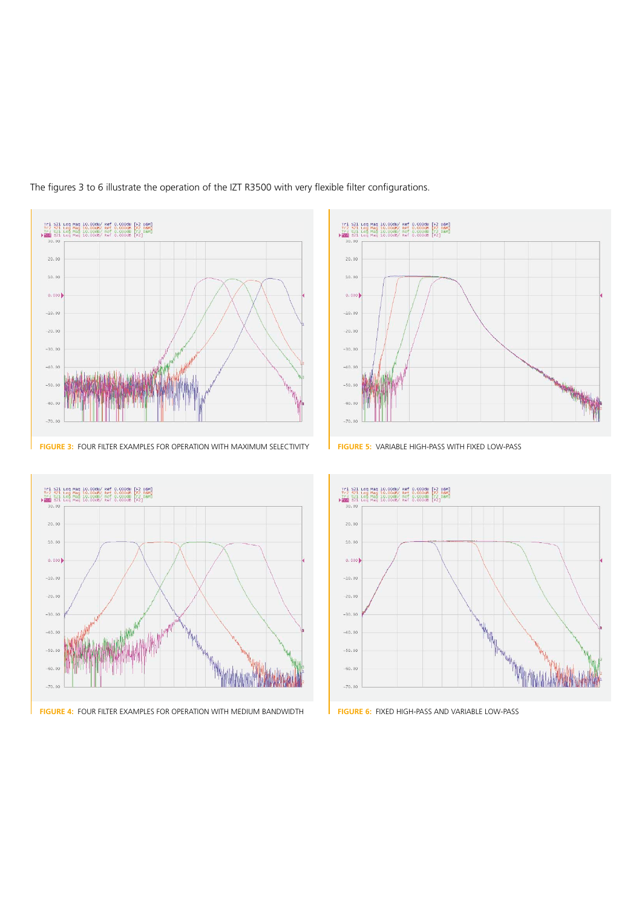

The figures 3 to 6 illustrate the operation of the IZT R3500 with very flexible filter configurations.





**FIGURE 4:** FOUR FILTER EXAMPLES FOR OPERATION WITH MEDIUM BANDWIDTH **FIGURE 6:** FIXED HIGH-PASS AND VARIABLE LOW-PASS



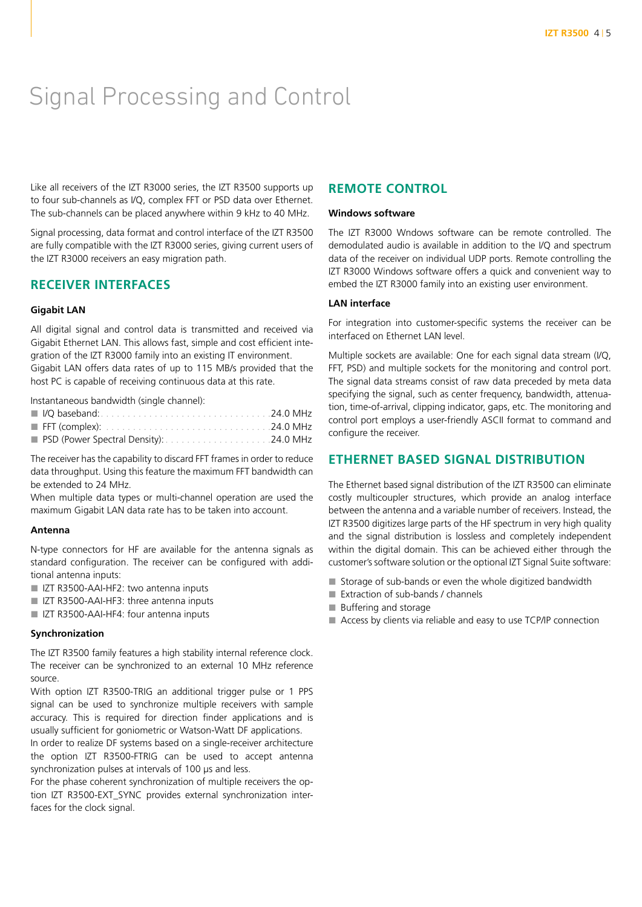### Signal Processing and Control

Like all receivers of the IZT R3000 series, the IZT R3500 supports up to four sub-channels as I/Q, complex FFT or PSD data over Ethernet. The sub-channels can be placed anywhere within 9 kHz to 40 MHz.

Signal processing, data format and control interface of the IZT R3500 are fully compatible with the IZT R3000 series, giving current users of the IZT R3000 receivers an easy migration path.

#### **RECEIVER INTERFACES**

#### **Gigabit LAN**

All digital signal and control data is transmitted and received via Gigabit Ethernet LAN. This allows fast, simple and cost efficient integration of the IZT R3000 family into an existing IT environment. Gigabit LAN offers data rates of up to 115 MB/s provided that the host PC is capable of receiving continuous data at this rate.

Instantaneous bandwidth (single channel):

The receiver has the capability to discard FFT frames in order to reduce data throughput. Using this feature the maximum FFT bandwidth can be extended to 24 MHz.

When multiple data types or multi-channel operation are used the maximum Gigabit LAN data rate has to be taken into account.

#### **Antenna**

N-type connectors for HF are available for the antenna signals as standard configuration. The receiver can be configured with additional antenna inputs:

- IZT R3500-AAI-HF2: two antenna inputs
- IZT R3500-AAI-HF3: three antenna inputs
- IZT R3500-AAI-HF4: four antenna inputs

#### **Synchronization**

The IZT R3500 family features a high stability internal reference clock. The receiver can be synchronized to an external 10 MHz reference source.

With option IZT R3500-TRIG an additional trigger pulse or 1 PPS signal can be used to synchronize multiple receivers with sample accuracy. This is required for direction finder applications and is usually sufficient for goniometric or Watson-Watt DF applications.

In order to realize DF systems based on a single-receiver architecture the option IZT R3500-FTRIG can be used to accept antenna synchronization pulses at intervals of 100 µs and less.

For the phase coherent synchronization of multiple receivers the option IZT R3500-EXT\_SYNC provides external synchronization interfaces for the clock signal.

#### **REMOTE CONTROL**

#### **Windows software**

The IZT R3000 Wndows software can be remote controlled. The demodulated audio is available in addition to the I/Q and spectrum data of the receiver on individual UDP ports. Remote controlling the IZT R3000 Windows software offers a quick and convenient way to embed the IZT R3000 family into an existing user environment.

#### **LAN interface**

For integration into customer-specific systems the receiver can be interfaced on Ethernet LAN level.

Multiple sockets are available: One for each signal data stream (I/Q, FFT, PSD) and multiple sockets for the monitoring and control port. The signal data streams consist of raw data preceded by meta data specifying the signal, such as center frequency, bandwidth, attenuation, time-of-arrival, clipping indicator, gaps, etc. The monitoring and control port employs a user-friendly ASCII format to command and configure the receiver.

#### **ETHERNET BASED SIGNAL DISTRIBUTION**

The Ethernet based signal distribution of the IZT R3500 can eliminate costly multicoupler structures, which provide an analog interface between the antenna and a variable number of receivers. Instead, the IZT R3500 digitizes large parts of the HF spectrum in very high quality and the signal distribution is lossless and completely independent within the digital domain. This can be achieved either through the customer's software solution or the optional IZT Signal Suite software:

- Storage of sub-bands or even the whole digitized bandwidth
- Extraction of sub-bands / channels
- **Buffering and storage**
- Access by clients via reliable and easy to use TCP/IP connection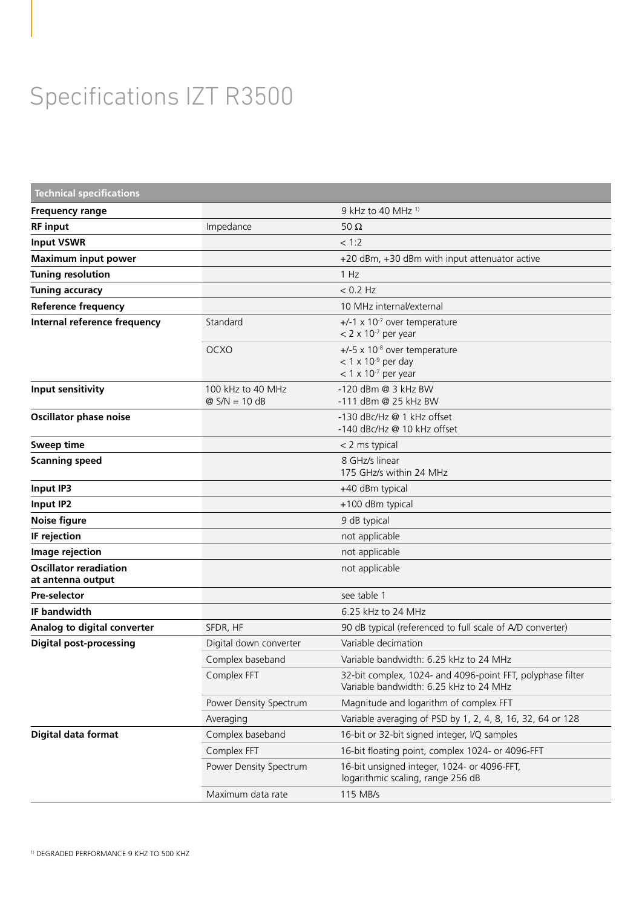# Specifications IZT R3500

| <b>Technical specifications</b>                    |                                      |                                                                                                                 |
|----------------------------------------------------|--------------------------------------|-----------------------------------------------------------------------------------------------------------------|
| <b>Frequency range</b>                             |                                      | 9 kHz to 40 MHz <sup>1)</sup>                                                                                   |
| <b>RF</b> input                                    | Impedance                            | 50 $\Omega$                                                                                                     |
| <b>Input VSWR</b>                                  |                                      | < 1:2                                                                                                           |
| <b>Maximum input power</b>                         |                                      | +20 dBm, +30 dBm with input attenuator active                                                                   |
| <b>Tuning resolution</b>                           |                                      | 1 Hz                                                                                                            |
| <b>Tuning accuracy</b>                             |                                      | $< 0.2$ Hz                                                                                                      |
| <b>Reference frequency</b>                         |                                      | 10 MHz internal/external                                                                                        |
| Internal reference frequency                       | Standard                             | $+/-1 \times 10^{-7}$ over temperature<br>$< 2 \times 10^{-7}$ per year                                         |
|                                                    | <b>OCXO</b>                          | $+/-5 \times 10^{-8}$ over temperature<br>$<$ 1 x 10 <sup>-9</sup> per day<br>$<$ 1 x 10 <sup>-7</sup> per year |
| Input sensitivity                                  | 100 kHz to 40 MHz<br>$@$ S/N = 10 dB | -120 dBm @ 3 kHz BW<br>-111 dBm @ 25 kHz BW                                                                     |
| <b>Oscillator phase noise</b>                      |                                      | -130 dBc/Hz @ 1 kHz offset<br>-140 dBc/Hz @ 10 kHz offset                                                       |
| <b>Sweep time</b>                                  |                                      | < 2 ms typical                                                                                                  |
| <b>Scanning speed</b>                              |                                      | 8 GHz/s linear<br>175 GHz/s within 24 MHz                                                                       |
| Input IP3                                          |                                      | +40 dBm typical                                                                                                 |
| Input IP2                                          |                                      | +100 dBm typical                                                                                                |
| <b>Noise figure</b>                                |                                      | 9 dB typical                                                                                                    |
| IF rejection                                       |                                      | not applicable                                                                                                  |
| Image rejection                                    |                                      | not applicable                                                                                                  |
| <b>Oscillator reradiation</b><br>at antenna output |                                      | not applicable                                                                                                  |
| <b>Pre-selector</b>                                |                                      | see table 1                                                                                                     |
| <b>IF bandwidth</b>                                |                                      | 6.25 kHz to 24 MHz                                                                                              |
| Analog to digital converter                        | SFDR, HF                             | 90 dB typical (referenced to full scale of A/D converter)                                                       |
| <b>Digital post-processing</b>                     | Digital down converter               | Variable decimation                                                                                             |
|                                                    | Complex baseband                     | Variable bandwidth: 6.25 kHz to 24 MHz                                                                          |
|                                                    | Complex FFT                          | 32-bit complex, 1024- and 4096-point FFT, polyphase filter<br>Variable bandwidth: 6.25 kHz to 24 MHz            |
|                                                    | Power Density Spectrum               | Magnitude and logarithm of complex FFT                                                                          |
|                                                    | Averaging                            | Variable averaging of PSD by 1, 2, 4, 8, 16, 32, 64 or 128                                                      |
| Digital data format                                | Complex baseband                     | 16-bit or 32-bit signed integer, I/Q samples                                                                    |
|                                                    | Complex FFT                          | 16-bit floating point, complex 1024- or 4096-FFT                                                                |
|                                                    | Power Density Spectrum               | 16-bit unsigned integer, 1024- or 4096-FFT,<br>logarithmic scaling, range 256 dB                                |
|                                                    | Maximum data rate                    | 115 MB/s                                                                                                        |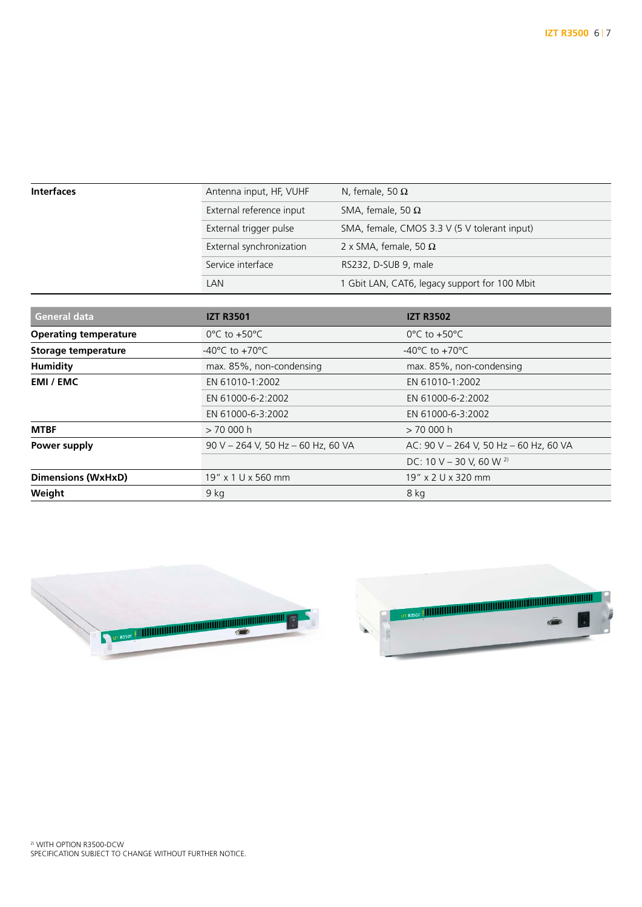| Interfaces | Antenna input, HF, VUHF  | N, female, 50 $\Omega$                        |
|------------|--------------------------|-----------------------------------------------|
|            | External reference input | SMA, female, 50 $\Omega$                      |
|            | External trigger pulse   | SMA, female, CMOS 3.3 V (5 V tolerant input)  |
|            | External synchronization | 2 x SMA, female, 50 $\Omega$                  |
|            | Service interface        | RS232, D-SUB 9, male                          |
|            | LAN                      | 1 Gbit LAN, CAT6, legacy support for 100 Mbit |

| <b>General data</b>          | <b>IZT R3501</b>                   | <b>IZT R3502</b>                       |
|------------------------------|------------------------------------|----------------------------------------|
| <b>Operating temperature</b> | $0^{\circ}$ C to +50 $^{\circ}$ C  | $0^{\circ}$ C to $+50^{\circ}$ C       |
| Storage temperature          | -40°C to +70°C                     | -40 $^{\circ}$ C to +70 $^{\circ}$ C   |
| <b>Humidity</b>              | max. 85%, non-condensing           | max. 85%, non-condensing               |
| <b>EMI / EMC</b>             | EN 61010-1:2002                    | EN 61010-1:2002                        |
|                              | EN 61000-6-2:2002                  | EN 61000-6-2:2002                      |
|                              | EN 61000-6-3:2002                  | EN 61000-6-3:2002                      |
| <b>MTBF</b>                  | >70000h                            | > 70 000 h                             |
| Power supply                 | 90 V - 264 V, 50 Hz - 60 Hz, 60 VA | AC: 90 V - 264 V, 50 Hz - 60 Hz, 60 VA |
|                              |                                    | DC: 10 V - 30 V, 60 W $^{2}$           |
| <b>Dimensions (WxHxD)</b>    | 19" x 1 U x 560 mm                 | 19" x 2 U x 320 mm                     |
| Weight                       | 9 kg                               | 8 kg                                   |